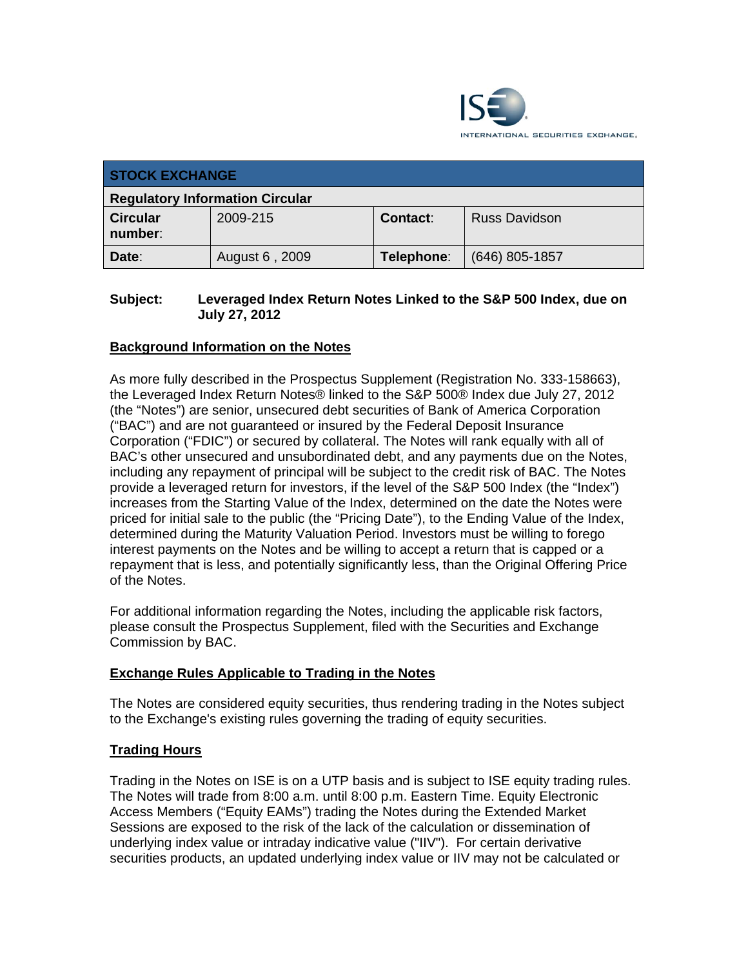

| <b>STOCK EXCHANGE</b>                  |                |            |                      |  |
|----------------------------------------|----------------|------------|----------------------|--|
| <b>Regulatory Information Circular</b> |                |            |                      |  |
| <b>Circular</b><br>number:             | 2009-215       | Contact:   | <b>Russ Davidson</b> |  |
| Date:                                  | August 6, 2009 | Telephone: | $(646)$ 805-1857     |  |

### **Subject: Leveraged Index Return Notes Linked to the S&P 500 Index, due on July 27, 2012**

## **Background Information on the Notes**

As more fully described in the Prospectus Supplement (Registration No. 333-158663), the Leveraged Index Return Notes® linked to the S&P 500® Index due July 27, 2012 (the "Notes") are senior, unsecured debt securities of Bank of America Corporation ("BAC") and are not guaranteed or insured by the Federal Deposit Insurance Corporation ("FDIC") or secured by collateral. The Notes will rank equally with all of BAC's other unsecured and unsubordinated debt, and any payments due on the Notes, including any repayment of principal will be subject to the credit risk of BAC. The Notes provide a leveraged return for investors, if the level of the S&P 500 Index (the "Index") increases from the Starting Value of the Index, determined on the date the Notes were priced for initial sale to the public (the "Pricing Date"), to the Ending Value of the Index, determined during the Maturity Valuation Period. Investors must be willing to forego interest payments on the Notes and be willing to accept a return that is capped or a repayment that is less, and potentially significantly less, than the Original Offering Price of the Notes.

For additional information regarding the Notes, including the applicable risk factors, please consult the Prospectus Supplement, filed with the Securities and Exchange Commission by BAC.

#### **Exchange Rules Applicable to Trading in the Notes**

The Notes are considered equity securities, thus rendering trading in the Notes subject to the Exchange's existing rules governing the trading of equity securities.

#### **Trading Hours**

Trading in the Notes on ISE is on a UTP basis and is subject to ISE equity trading rules. The Notes will trade from 8:00 a.m. until 8:00 p.m. Eastern Time. Equity Electronic Access Members ("Equity EAMs") trading the Notes during the Extended Market Sessions are exposed to the risk of the lack of the calculation or dissemination of underlying index value or intraday indicative value ("IIV"). For certain derivative securities products, an updated underlying index value or IIV may not be calculated or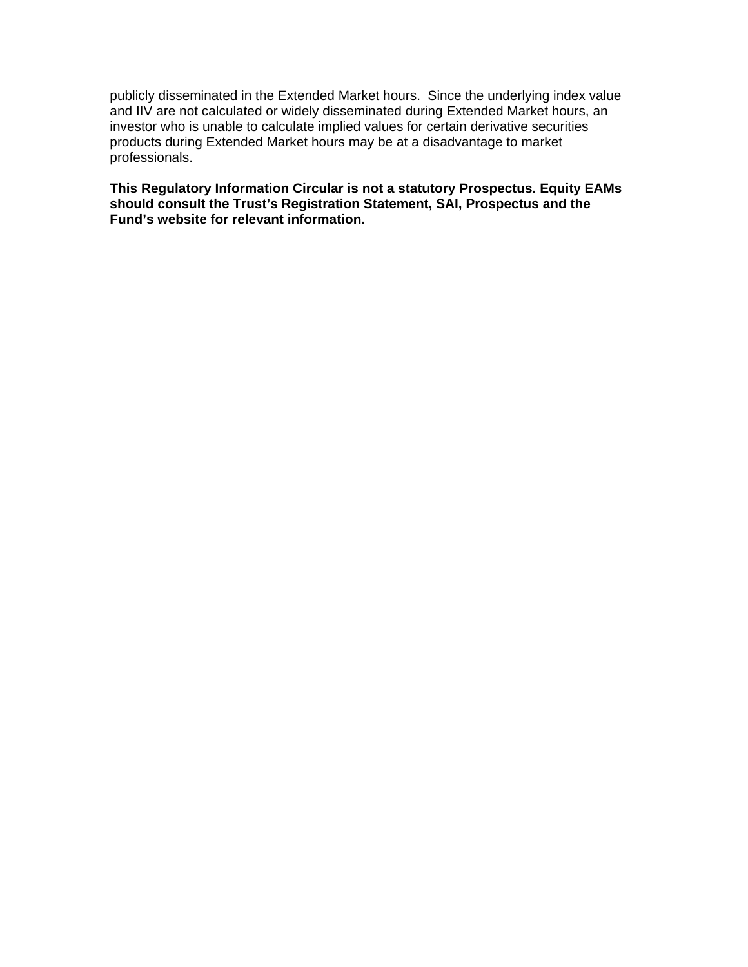publicly disseminated in the Extended Market hours. Since the underlying index value and IIV are not calculated or widely disseminated during Extended Market hours, an investor who is unable to calculate implied values for certain derivative securities products during Extended Market hours may be at a disadvantage to market professionals.

**This Regulatory Information Circular is not a statutory Prospectus. Equity EAMs should consult the Trust's Registration Statement, SAI, Prospectus and the Fund's website for relevant information.**